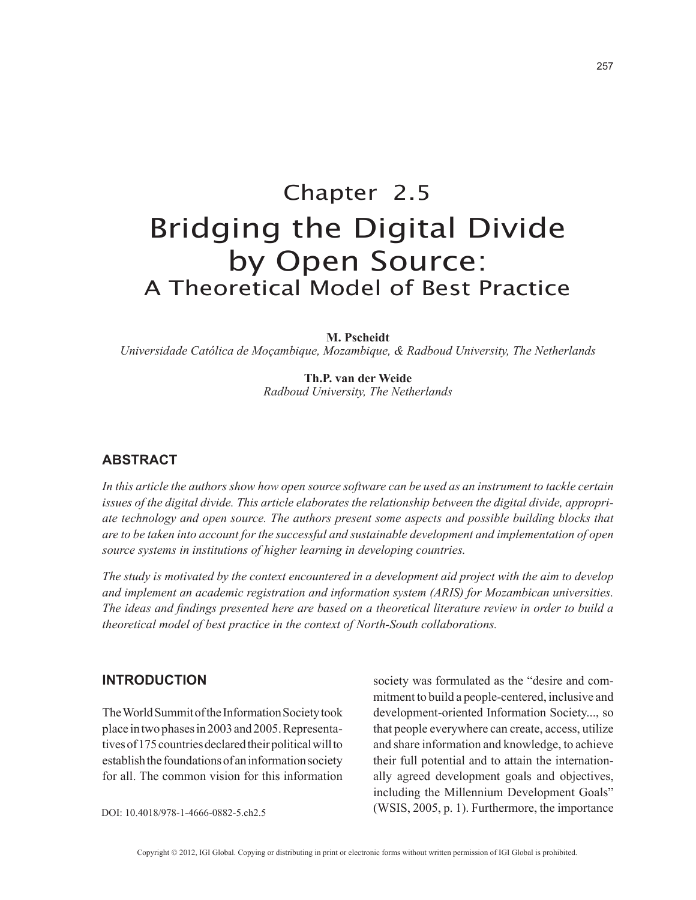# Chapter 2.5 Bridging the Digital Divide by Open Source: A Theoretical Model of Best Practice

**M. Pscheidt**

*Universidade Católica de Moçambique, Mozambique, & Radboud University, The Netherlands*

**Th.P. van der Weide** *Radboud University, The Netherlands*

## **ABSTRACT**

*In this article the authors show how open source software can be used as an instrument to tackle certain issues of the digital divide. This article elaborates the relationship between the digital divide, appropriate technology and open source. The authors present some aspects and possible building blocks that are to be taken into account for the successful and sustainable development and implementation of open source systems in institutions of higher learning in developing countries.*

*The study is motivated by the context encountered in a development aid project with the aim to develop and implement an academic registration and information system (ARIS) for Mozambican universities. The ideas and findings presented here are based on a theoretical literature review in order to build a theoretical model of best practice in the context of North-South collaborations.*

## **INTRODUCTION**

The World Summit of the Information Society took place in two phases in 2003 and 2005. Representatives of 175 countries declared their political will to establish the foundations of an information society for all. The common vision for this information society was formulated as the "desire and commitment to build a people-centered, inclusive and development-oriented Information Society..., so that people everywhere can create, access, utilize and share information and knowledge, to achieve their full potential and to attain the internationally agreed development goals and objectives, including the Millennium Development Goals" (WSIS, 2005, p. 1). Furthermore, the importance

DOI: 10.4018/978-1-4666-0882-5.ch2.5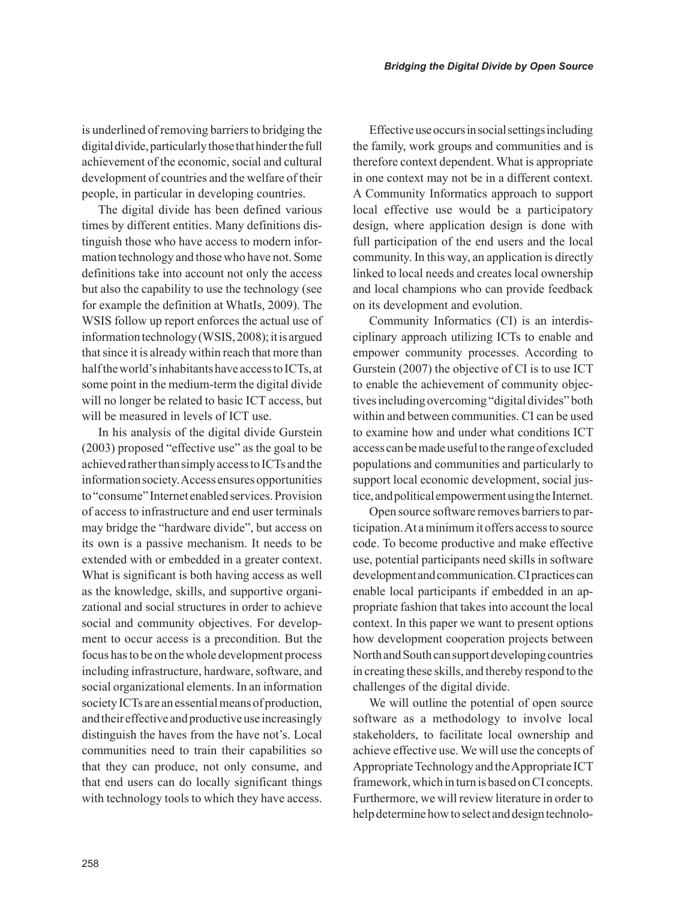is underlined of removing barriers to bridging the digital divide, particularly those that hinder the full achievement of the economic, social and cultural development of countries and the welfare of their people, in particular in developing countries.

The digital divide has been defined various times by different entities. Many definitions distinguish those who have access to modern information technology and those who have not. Some definitions take into account not only the access but also the capability to use the technology (see for example the definition at WhatIs, 2009). The WSIS follow up report enforces the actual use of information technology (WSIS, 2008); it is argued that since it is already within reach that more than half the world's inhabitants have access to ICTs, at some point in the medium-term the digital divide will no longer be related to basic ICT access, but will be measured in levels of ICT use.

In his analysis of the digital divide Gurstein (2003) proposed "effective use" as the goal to be achieved rather than simply access to ICTs and the information society. Access ensures opportunities to "consume" Internet enabled services. Provision of access to infrastructure and end user terminals may bridge the "hardware divide", but access on its own is a passive mechanism. It needs to be extended with or embedded in a greater context. What is significant is both having access as well as the knowledge, skills, and supportive organizational and social structures in order to achieve social and community objectives. For development to occur access is a precondition. But the focus has to be on the whole development process including infrastructure, hardware, software, and social organizational elements. In an information society ICTs are an essential means of production, and their effective and productive use increasingly distinguish the haves from the have not's. Local communities need to train their capabilities so that they can produce, not only consume, and that end users can do locally significant things with technology tools to which they have access.

Effective use occurs in social settings including the family, work groups and communities and is therefore context dependent. What is appropriate in one context may not be in a different context. A Community Informatics approach to support local effective use would be a participatory design, where application design is done with full participation of the end users and the local community. In this way, an application is directly linked to local needs and creates local ownership and local champions who can provide feedback on its development and evolution.

Community Informatics (CI) is an interdisciplinary approach utilizing ICTs to enable and empower community processes. According to Gurstein (2007) the objective of CI is to use ICT to enable the achievement of community objectives including overcoming "digital divides" both within and between communities. CI can be used to examine how and under what conditions ICT access can be made useful to the range of excluded populations and communities and particularly to support local economic development, social justice, and political empowerment using the Internet.

Open source software removes barriers to participation. At a minimum it offers access to source code. To become productive and make effective use, potential participants need skills in software development and communication. CI practices can enable local participants if embedded in an appropriate fashion that takes into account the local context. In this paper we want to present options how development cooperation projects between North and South can support developing countries in creating these skills, and thereby respond to the challenges of the digital divide.

We will outline the potential of open source software as a methodology to involve local stakeholders, to facilitate local ownership and achieve effective use. We will use the concepts of Appropriate Technology and the Appropriate ICT framework, which in turn is based on CI concepts. Furthermore, we will review literature in order to help determine how to select and design technolo